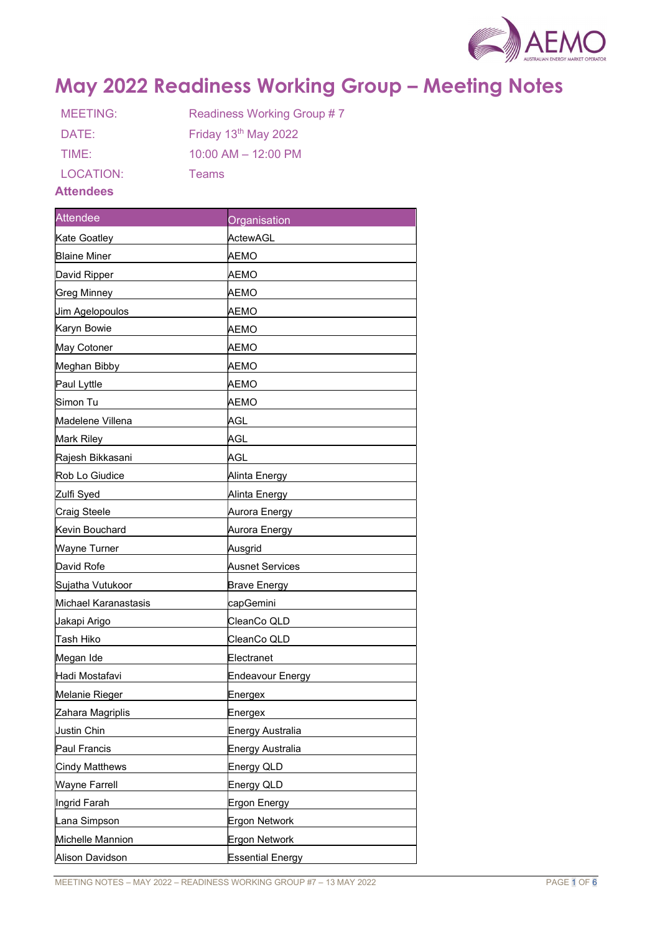

# May 2022 Readiness Working Group – Meeting Notes

| MEETING:        | Readiness Working Group #7 |
|-----------------|----------------------------|
| DATE:           | Friday 13th May 2022       |
| TIME:           | $10:00$ AM $- 12:00$ PM    |
| LOCATION:       | Teams                      |
| 8. Adam al-am a |                            |

## Attendees

| <b>Attendee</b>      | Organisation            |
|----------------------|-------------------------|
| Kate Goatley         | ActewAGL                |
| <b>Blaine Miner</b>  | AEMO                    |
| David Ripper         | AEMO                    |
| <b>Greg Minney</b>   | АЕМО                    |
| Jim Agelopoulos      | AEMO                    |
| Karyn Bowie          | AEMO                    |
| May Cotoner          | АЕМО                    |
| Meghan Bibby         | AEMO                    |
| Paul Lyttle          | АЕМО                    |
| Simon Tu             | AEMO                    |
| Madelene Villena     | AGL                     |
| Mark Riley           | AGL                     |
| Rajesh Bikkasani     | AGL                     |
| Rob Lo Giudice       | Alinta Energy           |
| Zulfi Syed           | Alinta Energy           |
| <b>Craig Steele</b>  | Aurora Energy           |
| Kevin Bouchard       | Aurora Energy           |
| Wayne Turner         | Ausgrid                 |
| David Rofe           | Ausnet Services         |
| Sujatha Vutukoor     | <b>Brave Energy</b>     |
| Michael Karanastasis | capGemini               |
| Jakapi Arigo         | CleanCo QLD             |
| Tash Hiko            | CleanCo QLD             |
| Megan Ide            | Electranet              |
| Hadi Mostafavi       | <b>Endeavour Energy</b> |
| Melanie Rieger       | Energex                 |
| Zahara Magriplis     | Energex                 |
| Justin Chin          | <b>Energy Australia</b> |
| Paul Francis         | Energy Australia        |
| Cindy Matthews       | Energy QLD              |
| Wayne Farrell        | Energy QLD              |
| Ingrid Farah         | Ergon Energy            |
| Lana Simpson         | Ergon Network           |
| Michelle Mannion     | Ergon Network           |
| Alison Davidson      | <b>Essential Energy</b> |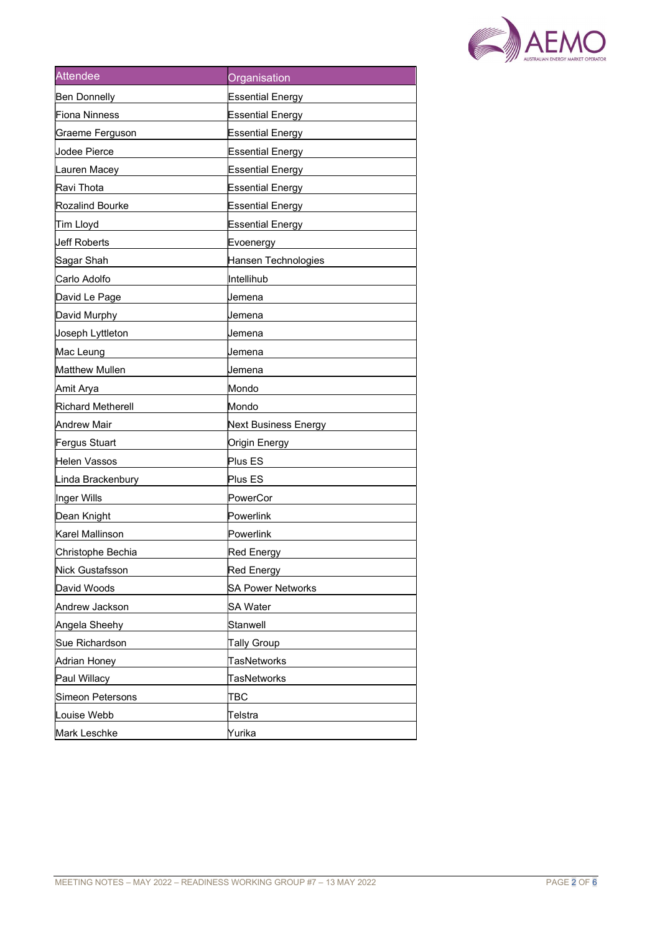

| <b>Attendee</b>          | Organisation             |
|--------------------------|--------------------------|
| <b>Ben Donnelly</b>      | <b>Essential Energy</b>  |
| Fiona Ninness            | Essential Energy         |
| Graeme Ferguson          | <b>Essential Energy</b>  |
| Jodee Pierce             | <b>Essential Energy</b>  |
| Lauren Macey             | <b>Essential Energy</b>  |
| Ravi Thota               | <b>Essential Energy</b>  |
| Rozalind Bourke          | Essential Energy         |
| Tim Lloyd                | <b>Essential Energy</b>  |
| Jeff Roberts             | Evoenergy                |
| Sagar Shah               | Hansen Technologies      |
| Carlo Adolfo             | Intellihub               |
| David Le Page            | Jemena                   |
| David Murphy             | Jemena                   |
| Joseph Lyttleton         | Jemena                   |
| Mac Leung                | Jemena                   |
| Matthew Mullen           | Jemena                   |
| Amit Arya                | Mondo                    |
| <b>Richard Metherell</b> | Mondo                    |
| <b>Andrew Mair</b>       | Next Business Energy     |
| Fergus Stuart            | Origin Energy            |
| Helen Vassos             | Plus ES                  |
| Linda Brackenbury        | Plus ES                  |
| Inger Wills              | PowerCor                 |
| Dean Knight              | Powerlink                |
| Karel Mallinson          | Powerlink                |
| Christophe Bechia        | <b>Red Energy</b>        |
| Nick Gustafsson          | Red Energy               |
| David Woods              | <b>SA Power Networks</b> |
| Andrew Jackson           | SA Water                 |
| Angela Sheehy            | Stanwell                 |
| Sue Richardson           | <b>Tally Group</b>       |
| Adrian Honey             | <b>TasNetworks</b>       |
| Paul Willacy             | <b>TasNetworks</b>       |
| Simeon Petersons         | TBC                      |
| Louise Webb              | ∏elstra                  |
| Mark Leschke             | Yurika                   |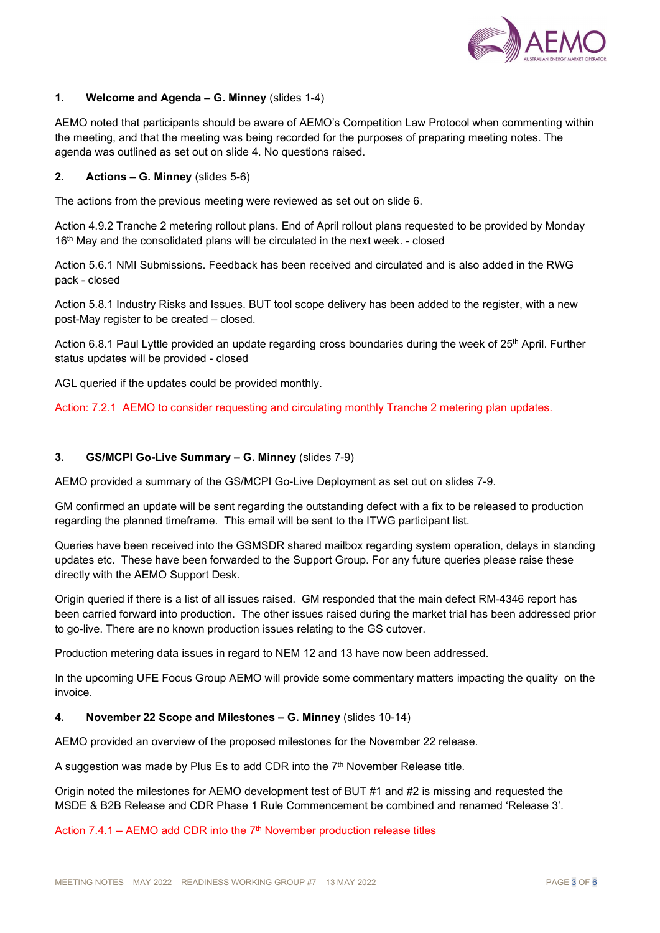

## 1. Welcome and Agenda – G. Minney (slides 1-4)

AEMO noted that participants should be aware of AEMO's Competition Law Protocol when commenting within the meeting, and that the meeting was being recorded for the purposes of preparing meeting notes. The agenda was outlined as set out on slide 4. No questions raised.

## 2. Actions – G. Minney (slides 5-6)

The actions from the previous meeting were reviewed as set out on slide 6.

Action 4.9.2 Tranche 2 metering rollout plans. End of April rollout plans requested to be provided by Monday 16<sup>th</sup> May and the consolidated plans will be circulated in the next week. - closed

Action 5.6.1 NMI Submissions. Feedback has been received and circulated and is also added in the RWG pack - closed

Action 5.8.1 Industry Risks and Issues. BUT tool scope delivery has been added to the register, with a new post-May register to be created – closed.

Action 6.8.1 Paul Lyttle provided an update regarding cross boundaries during the week of 25<sup>th</sup> April. Further status updates will be provided - closed

AGL queried if the updates could be provided monthly.

Action: 7.2.1 AEMO to consider requesting and circulating monthly Tranche 2 metering plan updates.

# 3. GS/MCPI Go-Live Summary – G. Minney (slides 7-9)

AEMO provided a summary of the GS/MCPI Go-Live Deployment as set out on slides 7-9.

GM confirmed an update will be sent regarding the outstanding defect with a fix to be released to production regarding the planned timeframe. This email will be sent to the ITWG participant list.

Queries have been received into the GSMSDR shared mailbox regarding system operation, delays in standing updates etc. These have been forwarded to the Support Group. For any future queries please raise these directly with the AEMO Support Desk.

Origin queried if there is a list of all issues raised. GM responded that the main defect RM-4346 report has been carried forward into production. The other issues raised during the market trial has been addressed prior to go-live. There are no known production issues relating to the GS cutover.

Production metering data issues in regard to NEM 12 and 13 have now been addressed.

In the upcoming UFE Focus Group AEMO will provide some commentary matters impacting the quality on the invoice.

## 4. November 22 Scope and Milestones – G. Minney (slides 10-14)

AEMO provided an overview of the proposed milestones for the November 22 release.

A suggestion was made by Plus Es to add CDR into the  $7<sup>th</sup>$  November Release title.

Origin noted the milestones for AEMO development test of BUT #1 and #2 is missing and requested the MSDE & B2B Release and CDR Phase 1 Rule Commencement be combined and renamed 'Release 3'.

Action 7.4.1 – AEMO add CDR into the  $7<sup>th</sup>$  November production release titles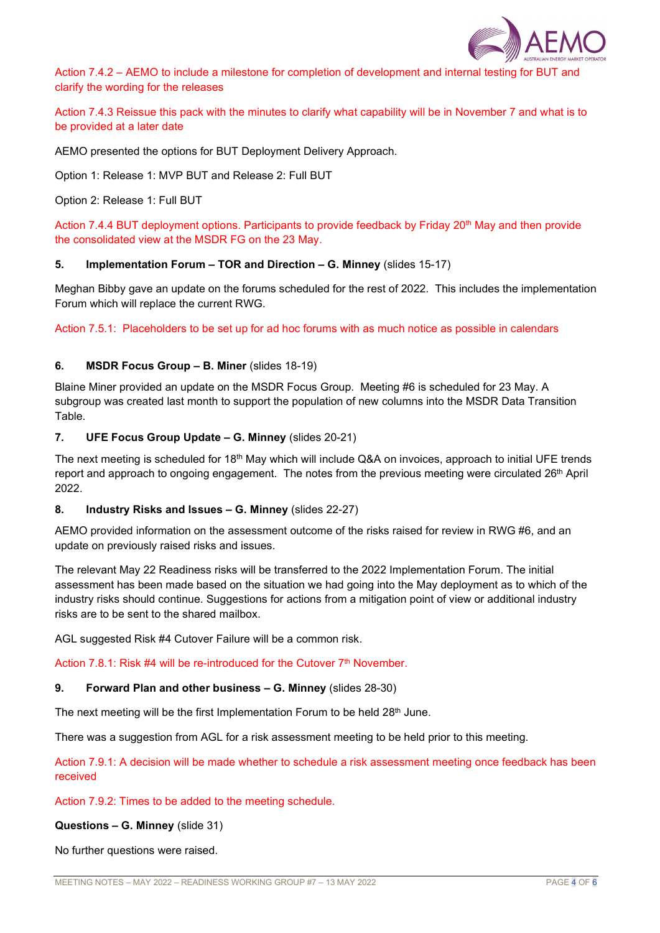

Action 7.4.2 – AEMO to include a milestone for completion of development and internal testing for BUT and clarify the wording for the releases

Action 7.4.3 Reissue this pack with the minutes to clarify what capability will be in November 7 and what is to be provided at a later date

AEMO presented the options for BUT Deployment Delivery Approach.

Option 1: Release 1: MVP BUT and Release 2: Full BUT

Option 2: Release 1: Full BUT

Action 7.4.4 BUT deployment options. Participants to provide feedback by Friday 20<sup>th</sup> May and then provide the consolidated view at the MSDR FG on the 23 May.

#### 5. Implementation Forum – TOR and Direction – G. Minney (slides 15-17)

Meghan Bibby gave an update on the forums scheduled for the rest of 2022. This includes the implementation Forum which will replace the current RWG.

Action 7.5.1: Placeholders to be set up for ad hoc forums with as much notice as possible in calendars

#### 6. MSDR Focus Group – B. Miner (slides 18-19)

Blaine Miner provided an update on the MSDR Focus Group. Meeting #6 is scheduled for 23 May. A subgroup was created last month to support the population of new columns into the MSDR Data Transition Table.

#### 7. UFE Focus Group Update – G. Minney (slides 20-21)

The next meeting is scheduled for 18<sup>th</sup> May which will include Q&A on invoices, approach to initial UFE trends report and approach to ongoing engagement. The notes from the previous meeting were circulated 26<sup>th</sup> April 2022.

#### 8. Industry Risks and Issues – G. Minney (slides 22-27)

AEMO provided information on the assessment outcome of the risks raised for review in RWG #6, and an update on previously raised risks and issues.

The relevant May 22 Readiness risks will be transferred to the 2022 Implementation Forum. The initial assessment has been made based on the situation we had going into the May deployment as to which of the industry risks should continue. Suggestions for actions from a mitigation point of view or additional industry risks are to be sent to the shared mailbox.

AGL suggested Risk #4 Cutover Failure will be a common risk.

Action 7.8.1: Risk  $#4$  will be re-introduced for the Cutover  $7<sup>th</sup>$  November.

## 9. Forward Plan and other business – G. Minney (slides 28-30)

The next meeting will be the first Implementation Forum to be held  $28<sup>th</sup>$  June.

There was a suggestion from AGL for a risk assessment meeting to be held prior to this meeting.

Action 7.9.1: A decision will be made whether to schedule a risk assessment meeting once feedback has been received

Action 7.9.2: Times to be added to the meeting schedule.

Questions – G. Minney (slide 31)

No further questions were raised.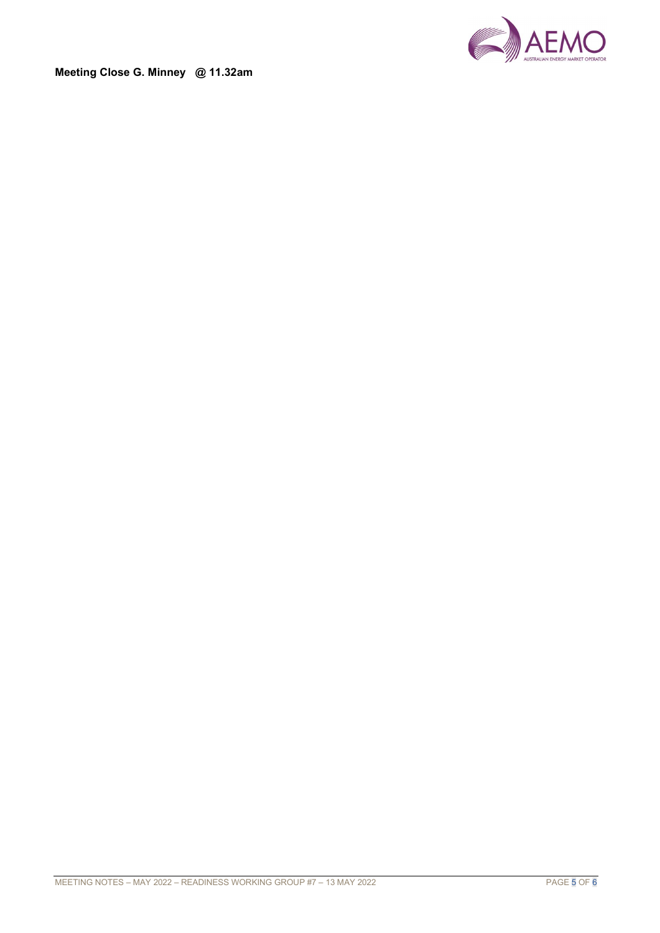

Meeting Close G. Minney @ 11.32am